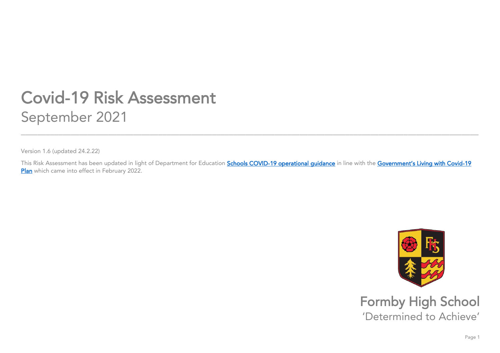## **Covid-19 Risk Assessment** September 2021 September 2021<br>September 2021 - September 2021<br>September 2021 - September 2021 - September 2021 - September 2021 - September 2021

 $\mathcal{N}$  and  $\mathcal{N}$  (updated 24.2.22)

 $\mathsf{Plan}\xspace$  which came into effect in Egbruary 2022 **[Plan](https://eur02.safelinks.protection.outlook.com/?url=https%3A%2F%2Fascl.us7.list-manage.com%2Ftrack%2Fclick%3Fu%3Ddae6fbf66d6135a8a21b3627d%26id%3D4e7a4ae54d%26e%3Db1665f3dab&data=04%7C01%7Cl.forster%40formbyhighschool.com%7C129fdc1c3fb14a1e712008d9f60d2043%7C5e1bc3d624b7429b9200b4172dee9aaa%7C0%7C0%7C637811359448759245%7CUnknown%7CTWFpbGZsb3d8eyJWIjoiMC4wLjAwMDAiLCJQIjoiV2luMzIiLCJBTiI6Ik1haWwiLCJXVCI6Mn0%3D%7C3000&sdata=%2BHY4EDwvQGrDujNlZx0Rp8XNKOW%2BeXRo1SbTn4E60Mo%3D&reserved=0) which came into effect in February 2022.** 

\_\_\_\_\_\_\_\_\_\_\_\_\_\_\_\_\_\_\_\_\_\_\_\_\_\_\_\_\_\_\_\_\_\_\_\_\_\_\_\_\_\_\_\_\_\_\_\_\_\_\_\_\_\_\_\_\_\_\_\_\_\_\_\_\_\_\_\_\_\_\_\_\_\_\_\_\_\_\_\_\_\_\_\_\_\_\_\_\_\_\_\_\_\_\_\_\_\_\_\_\_\_\_\_\_\_\_\_\_\_



**Formby High School**<br>
'Determined to Achieve' 'Determined to Achieve'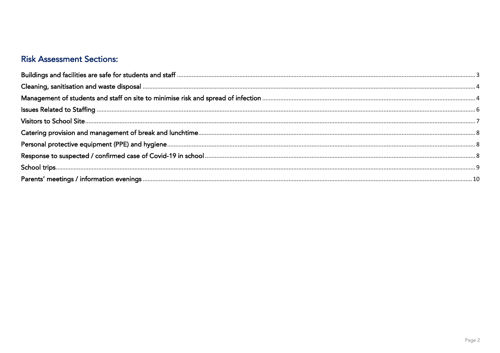## **Risk Assessment Sections:**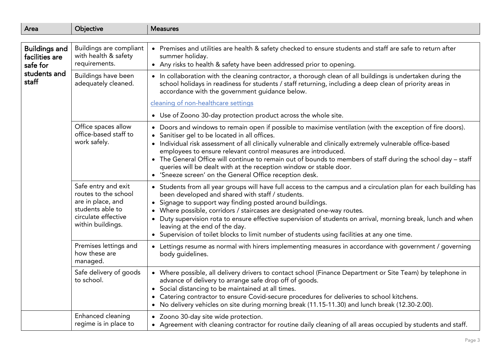<span id="page-2-0"></span>

| Area                                               | Objective                                                                                                                        | <b>Measures</b>                                                                                                                                                                                                                                                                                                                                                                                                                                                                                                                                                      |
|----------------------------------------------------|----------------------------------------------------------------------------------------------------------------------------------|----------------------------------------------------------------------------------------------------------------------------------------------------------------------------------------------------------------------------------------------------------------------------------------------------------------------------------------------------------------------------------------------------------------------------------------------------------------------------------------------------------------------------------------------------------------------|
|                                                    |                                                                                                                                  |                                                                                                                                                                                                                                                                                                                                                                                                                                                                                                                                                                      |
| <b>Buildings and</b><br>facilities are<br>safe for | Buildings are compliant<br>with health & safety<br>requirements.                                                                 | • Premises and utilities are health & safety checked to ensure students and staff are safe to return after<br>summer holiday.<br>• Any risks to health & safety have been addressed prior to opening.                                                                                                                                                                                                                                                                                                                                                                |
| students and<br>staff                              | Buildings have been<br>adequately cleaned.                                                                                       | • In collaboration with the cleaning contractor, a thorough clean of all buildings is undertaken during the<br>school holidays in readiness for students / staff returning, including a deep clean of priority areas in<br>accordance with the government guidance below.                                                                                                                                                                                                                                                                                            |
|                                                    |                                                                                                                                  | cleaning of non-healthcare settings                                                                                                                                                                                                                                                                                                                                                                                                                                                                                                                                  |
|                                                    |                                                                                                                                  | • Use of Zoono 30-day protection product across the whole site.                                                                                                                                                                                                                                                                                                                                                                                                                                                                                                      |
|                                                    | Office spaces allow<br>office-based staff to<br>work safely.                                                                     | Doors and windows to remain open if possible to maximise ventilation (with the exception of fire doors).<br>$\bullet$<br>Sanitiser gel to be located in all offices.<br>$\bullet$<br>• Individual risk assessment of all clinically vulnerable and clinically extremely vulnerable office-based<br>employees to ensure relevant control measures are introduced.<br>• The General Office will continue to remain out of bounds to members of staff during the school day - staff<br>queries will be dealt with at the reception window or stable door.               |
|                                                    |                                                                                                                                  | • 'Sneeze screen' on the General Office reception desk.                                                                                                                                                                                                                                                                                                                                                                                                                                                                                                              |
|                                                    | Safe entry and exit<br>routes to the school<br>are in place, and<br>students able to<br>circulate effective<br>within buildings. | • Students from all year groups will have full access to the campus and a circulation plan for each building has<br>been developed and shared with staff / students.<br>Signage to support way finding posted around buildings.<br>$\bullet$<br>Where possible, corridors / staircases are designated one-way routes.<br>Duty supervision rota to ensure effective supervision of students on arrival, morning break, lunch and when<br>leaving at the end of the day.<br>Supervision of toilet blocks to limit number of students using facilities at any one time. |
|                                                    | Premises lettings and<br>how these are<br>managed.                                                                               | • Lettings resume as normal with hirers implementing measures in accordance with government / governing<br>body guidelines.                                                                                                                                                                                                                                                                                                                                                                                                                                          |
|                                                    | Safe delivery of goods<br>to school.                                                                                             | • Where possible, all delivery drivers to contact school (Finance Department or Site Team) by telephone in<br>advance of delivery to arrange safe drop off of goods.<br>Social distancing to be maintained at all times.<br>Catering contractor to ensure Covid-secure procedures for deliveries to school kitchens.<br>$\bullet$<br>No delivery vehicles on site during morning break (11.15-11.30) and lunch break (12.30-2.00).<br>$\bullet$                                                                                                                      |
|                                                    | Enhanced cleaning<br>regime is in place to                                                                                       | Zoono 30-day site wide protection.<br>$\bullet$<br>Agreement with cleaning contractor for routine daily cleaning of all areas occupied by students and staff.<br>$\bullet$                                                                                                                                                                                                                                                                                                                                                                                           |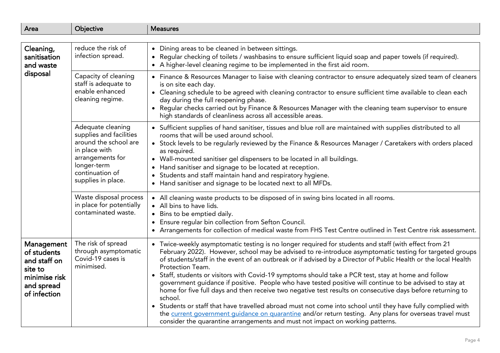<span id="page-3-1"></span><span id="page-3-0"></span>

| Area                                                                                                | Objective                                                                                                                                                          | <b>Measures</b>                                                                                                                                                                                                                                                                                                                                                                                                                                                                                                                                                                                                                                                                                                                                                                                                                                                                                                                                                                                                |
|-----------------------------------------------------------------------------------------------------|--------------------------------------------------------------------------------------------------------------------------------------------------------------------|----------------------------------------------------------------------------------------------------------------------------------------------------------------------------------------------------------------------------------------------------------------------------------------------------------------------------------------------------------------------------------------------------------------------------------------------------------------------------------------------------------------------------------------------------------------------------------------------------------------------------------------------------------------------------------------------------------------------------------------------------------------------------------------------------------------------------------------------------------------------------------------------------------------------------------------------------------------------------------------------------------------|
|                                                                                                     |                                                                                                                                                                    |                                                                                                                                                                                                                                                                                                                                                                                                                                                                                                                                                                                                                                                                                                                                                                                                                                                                                                                                                                                                                |
| Cleaning,<br>sanitisation<br>and waste<br>disposal                                                  | reduce the risk of<br>infection spread.                                                                                                                            | • Dining areas to be cleaned in between sittings.<br>Regular checking of toilets / washbasins to ensure sufficient liquid soap and paper towels (if required).<br>$\bullet$<br>A higher-level cleaning regime to be implemented in the first aid room.<br>$\bullet$                                                                                                                                                                                                                                                                                                                                                                                                                                                                                                                                                                                                                                                                                                                                            |
|                                                                                                     | Capacity of cleaning<br>staff is adequate to<br>enable enhanced<br>cleaning regime.                                                                                | • Finance & Resources Manager to liaise with cleaning contractor to ensure adequately sized team of cleaners<br>is on site each day.<br>• Cleaning schedule to be agreed with cleaning contractor to ensure sufficient time available to clean each<br>day during the full reopening phase.<br>• Regular checks carried out by Finance & Resources Manager with the cleaning team supervisor to ensure<br>high standards of cleanliness across all accessible areas.                                                                                                                                                                                                                                                                                                                                                                                                                                                                                                                                           |
|                                                                                                     | Adequate cleaning<br>supplies and facilities<br>around the school are<br>in place with<br>arrangements for<br>longer-term<br>continuation of<br>supplies in place. | • Sufficient supplies of hand sanitiser, tissues and blue roll are maintained with supplies distributed to all<br>rooms that will be used around school.<br>• Stock levels to be regularly reviewed by the Finance & Resources Manager / Caretakers with orders placed<br>as required.<br>• Wall-mounted sanitiser gel dispensers to be located in all buildings.<br>Hand sanitiser and signage to be located at reception.<br>Students and staff maintain hand and respiratory hygiene.<br>• Hand sanitiser and signage to be located next to all MFDs.                                                                                                                                                                                                                                                                                                                                                                                                                                                       |
|                                                                                                     | Waste disposal process<br>in place for potentially<br>contaminated waste.                                                                                          | All cleaning waste products to be disposed of in swing bins located in all rooms.<br>• All bins to have lids.<br>Bins to be emptied daily.<br>Ensure regular bin collection from Sefton Council.<br>$\bullet$<br>• Arrangements for collection of medical waste from FHS Test Centre outlined in Test Centre risk assessment.                                                                                                                                                                                                                                                                                                                                                                                                                                                                                                                                                                                                                                                                                  |
| Management<br>of students<br>and staff on<br>site to<br>minimise risk<br>and spread<br>of infection | The risk of spread<br>through asymptomatic<br>Covid-19 cases is<br>minimised.                                                                                      | • Twice-weekly asymptomatic testing is no longer required for students and staff (with effect from 21<br>February 2022). However, school may be advised to re-introduce asymptomatic testing for targeted groups<br>of students/staff in the event of an outbreak or if advised by a Director of Public Health or the local Health<br>Protection Team.<br>• Staff, students or visitors with Covid-19 symptoms should take a PCR test, stay at home and follow<br>government guidance if positive. People who have tested positive will continue to be advised to stay at<br>home for five full days and then receive two negative test results on consecutive days before returning to<br>school.<br>• Students or staff that have travelled abroad must not come into school until they have fully complied with<br>the current government guidance on quarantine and/or return testing. Any plans for overseas travel must<br>consider the quarantine arrangements and must not impact on working patterns. |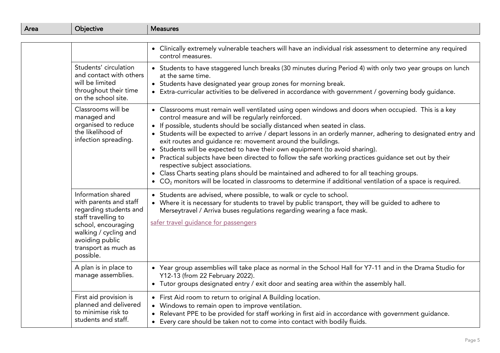| Area | Objective                                                                                                                                                                                             | <b>Measures</b>                                                                                                                                                                                                                                                                                                                                                                                                                                                                                                                                                                                                                                                                                                                                                                                                                                                                      |
|------|-------------------------------------------------------------------------------------------------------------------------------------------------------------------------------------------------------|--------------------------------------------------------------------------------------------------------------------------------------------------------------------------------------------------------------------------------------------------------------------------------------------------------------------------------------------------------------------------------------------------------------------------------------------------------------------------------------------------------------------------------------------------------------------------------------------------------------------------------------------------------------------------------------------------------------------------------------------------------------------------------------------------------------------------------------------------------------------------------------|
|      |                                                                                                                                                                                                       |                                                                                                                                                                                                                                                                                                                                                                                                                                                                                                                                                                                                                                                                                                                                                                                                                                                                                      |
|      |                                                                                                                                                                                                       | • Clinically extremely vulnerable teachers will have an individual risk assessment to determine any required<br>control measures.                                                                                                                                                                                                                                                                                                                                                                                                                                                                                                                                                                                                                                                                                                                                                    |
|      | Students' circulation<br>and contact with others<br>will be limited<br>throughout their time<br>on the school site.                                                                                   | • Students to have staggered lunch breaks (30 minutes during Period 4) with only two year groups on lunch<br>at the same time.<br>• Students have designated year group zones for morning break.<br>• Extra-curricular activities to be delivered in accordance with government / governing body guidance.                                                                                                                                                                                                                                                                                                                                                                                                                                                                                                                                                                           |
|      | Classrooms will be<br>managed and<br>organised to reduce<br>the likelihood of<br>infection spreading.                                                                                                 | • Classrooms must remain well ventilated using open windows and doors when occupied. This is a key<br>control measure and will be regularly reinforced.<br>If possible, students should be socially distanced when seated in class.<br>• Students will be expected to arrive / depart lessons in an orderly manner, adhering to designated entry and<br>exit routes and guidance re: movement around the buildings.<br>Students will be expected to have their own equipment (to avoid sharing).<br>$\bullet$<br>Practical subjects have been directed to follow the safe working practices guidance set out by their<br>$\bullet$<br>respective subject associations.<br>• Class Charts seating plans should be maintained and adhered to for all teaching groups.<br>• $CO2$ monitors will be located in classrooms to determine if additional ventilation of a space is required. |
|      | Information shared<br>with parents and staff<br>regarding students and<br>staff travelling to<br>school, encouraging<br>walking / cycling and<br>avoiding public<br>transport as much as<br>possible. | • Students are advised, where possible, to walk or cycle to school.<br>Where it is necessary for students to travel by public transport, they will be guided to adhere to<br>Merseytravel / Arriva buses regulations regarding wearing a face mask.<br>safer travel quidance for passengers                                                                                                                                                                                                                                                                                                                                                                                                                                                                                                                                                                                          |
|      | A plan is in place to<br>manage assemblies.                                                                                                                                                           | • Year group assemblies will take place as normal in the School Hall for Y7-11 and in the Drama Studio for<br>Y12-13 (from 22 February 2022).<br>• Tutor groups designated entry / exit door and seating area within the assembly hall.                                                                                                                                                                                                                                                                                                                                                                                                                                                                                                                                                                                                                                              |
|      | First aid provision is<br>planned and delivered<br>to minimise risk to<br>students and staff.                                                                                                         | First Aid room to return to original A Building location.<br>Windows to remain open to improve ventilation.<br>Relevant PPE to be provided for staff working in first aid in accordance with government guidance.<br>$\bullet$<br>Every care should be taken not to come into contact with bodily fluids.<br>$\bullet$                                                                                                                                                                                                                                                                                                                                                                                                                                                                                                                                                               |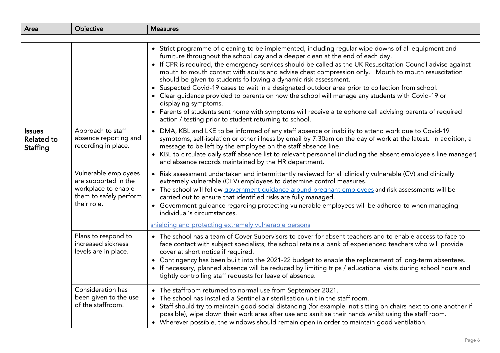<span id="page-5-0"></span>

| Area                                           | Objective                                                                                                    | <b>Measures</b>                                                                                                                                                                                                                                                                                                                                                                                                                                                                                                                                                                                                                                                                                                                                                                                                                                                                       |
|------------------------------------------------|--------------------------------------------------------------------------------------------------------------|---------------------------------------------------------------------------------------------------------------------------------------------------------------------------------------------------------------------------------------------------------------------------------------------------------------------------------------------------------------------------------------------------------------------------------------------------------------------------------------------------------------------------------------------------------------------------------------------------------------------------------------------------------------------------------------------------------------------------------------------------------------------------------------------------------------------------------------------------------------------------------------|
|                                                |                                                                                                              |                                                                                                                                                                                                                                                                                                                                                                                                                                                                                                                                                                                                                                                                                                                                                                                                                                                                                       |
|                                                |                                                                                                              | • Strict programme of cleaning to be implemented, including regular wipe downs of all equipment and<br>furniture throughout the school day and a deeper clean at the end of each day.<br>• If CPR is required, the emergency services should be called as the UK Resuscitation Council advise against<br>mouth to mouth contact with adults and advise chest compression only. Mouth to mouth resuscitation<br>should be given to students following a dynamic risk assessment.<br>• Suspected Covid-19 cases to wait in a designated outdoor area prior to collection from school.<br>• Clear guidance provided to parents on how the school will manage any students with Covid-19 or<br>displaying symptoms.<br>• Parents of students sent home with symptoms will receive a telephone call advising parents of required<br>action / testing prior to student returning to school. |
| <b>Issues</b><br><b>Related to</b><br>Staffing | Approach to staff<br>absence reporting and<br>recording in place.                                            | • DMA, KBL and LKE to be informed of any staff absence or inability to attend work due to Covid-19<br>symptoms, self-isolation or other illness by email by 7:30am on the day of work at the latest. In addition, a<br>message to be left by the employee on the staff absence line.<br>• KBL to circulate daily staff absence list to relevant personnel (including the absent employee's line manager)<br>and absence records maintained by the HR department.                                                                                                                                                                                                                                                                                                                                                                                                                      |
|                                                | Vulnerable employees<br>are supported in the<br>workplace to enable<br>them to safely perform<br>their role. | • Risk assessment undertaken and intermittently reviewed for all clinically vulnerable (CV) and clinically<br>extremely vulnerable (CEV) employees to determine control measures.<br>• The school will follow government guidance around pregnant employees and risk assessments will be<br>carried out to ensure that identified risks are fully managed.<br>• Government guidance regarding protecting vulnerable employees will be adhered to when managing<br>individual's circumstances.<br>shielding and protecting extremely vulnerable persons                                                                                                                                                                                                                                                                                                                                |
|                                                | Plans to respond to<br>increased sickness<br>levels are in place.                                            | • The school has a team of Cover Supervisors to cover for absent teachers and to enable access to face to<br>face contact with subject specialists, the school retains a bank of experienced teachers who will provide<br>cover at short notice if required.<br>• Contingency has been built into the 2021-22 budget to enable the replacement of long-term absentees.<br>• If necessary, planned absence will be reduced by limiting trips / educational visits during school hours and<br>tightly controlling staff requests for leave of absence.                                                                                                                                                                                                                                                                                                                                  |
|                                                | Consideration has<br>been given to the use<br>of the staffroom.                                              | • The staffroom returned to normal use from September 2021.<br>The school has installed a Sentinel air sterilisation unit in the staff room.<br>• Staff should try to maintain good social distancing (for example, not sitting on chairs next to one another if<br>possible), wipe down their work area after use and sanitise their hands whilst using the staff room.<br>• Wherever possible, the windows should remain open in order to maintain good ventilation.                                                                                                                                                                                                                                                                                                                                                                                                                |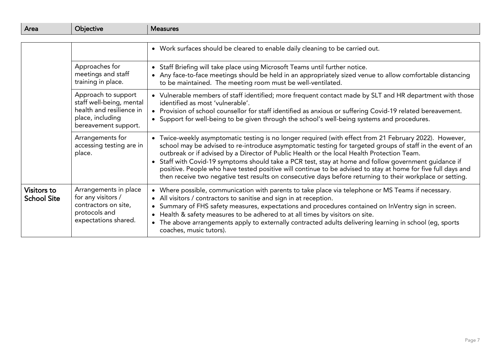<span id="page-6-0"></span>

| Area                              | Objective                                                                                                               | <b>Measures</b>                                                                                                                                                                                                                                                                                                                                                                                                                                                                                                                                                                                                                                            |
|-----------------------------------|-------------------------------------------------------------------------------------------------------------------------|------------------------------------------------------------------------------------------------------------------------------------------------------------------------------------------------------------------------------------------------------------------------------------------------------------------------------------------------------------------------------------------------------------------------------------------------------------------------------------------------------------------------------------------------------------------------------------------------------------------------------------------------------------|
|                                   |                                                                                                                         |                                                                                                                                                                                                                                                                                                                                                                                                                                                                                                                                                                                                                                                            |
|                                   |                                                                                                                         | • Work surfaces should be cleared to enable daily cleaning to be carried out.                                                                                                                                                                                                                                                                                                                                                                                                                                                                                                                                                                              |
|                                   | Approaches for<br>meetings and staff<br>training in place.                                                              | Staff Briefing will take place using Microsoft Teams until further notice.<br>$\bullet$<br>• Any face-to-face meetings should be held in an appropriately sized venue to allow comfortable distancing<br>to be maintained. The meeting room must be well-ventilated.                                                                                                                                                                                                                                                                                                                                                                                       |
|                                   | Approach to support<br>staff well-being, mental<br>health and resilience in<br>place, including<br>bereavement support. | • Vulnerable members of staff identified; more frequent contact made by SLT and HR department with those<br>identified as most 'vulnerable'.<br>Provision of school counsellor for staff identified as anxious or suffering Covid-19 related bereavement.<br>• Support for well-being to be given through the school's well-being systems and procedures.                                                                                                                                                                                                                                                                                                  |
|                                   | Arrangements for<br>accessing testing are in<br>place.                                                                  | • Twice-weekly asymptomatic testing is no longer required (with effect from 21 February 2022). However,<br>school may be advised to re-introduce asymptomatic testing for targeted groups of staff in the event of an<br>outbreak or if advised by a Director of Public Health or the local Health Protection Team.<br>• Staff with Covid-19 symptoms should take a PCR test, stay at home and follow government guidance if<br>positive. People who have tested positive will continue to be advised to stay at home for five full days and<br>then receive two negative test results on consecutive days before returning to their workplace or setting. |
| Visitors to<br><b>School Site</b> | Arrangements in place<br>for any visitors /<br>contractors on site,<br>protocols and<br>expectations shared.            | Where possible, communication with parents to take place via telephone or MS Teams if necessary.<br>All visitors / contractors to sanitise and sign in at reception.<br>Summary of FHS safety measures, expectations and procedures contained on InVentry sign in screen.<br>Health & safety measures to be adhered to at all times by visitors on site.<br>$\bullet$<br>The above arrangements apply to externally contracted adults delivering learning in school (eg, sports<br>coaches, music tutors).                                                                                                                                                 |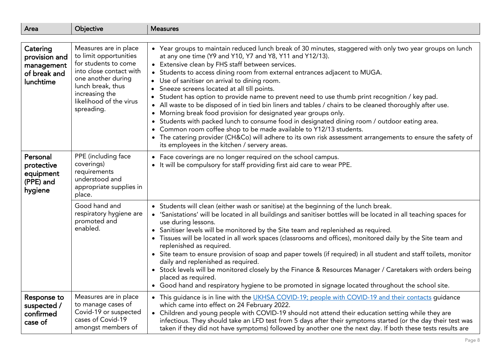<span id="page-7-2"></span><span id="page-7-1"></span><span id="page-7-0"></span>

| Area                                                        | Objective                                                                                                                                                                       | <b>Measures</b>                                                                                                                                                                                                                                                                                                                                                                                                                                                                                                                                                                                                                                                                                                                                                                                                                                                                                                                                  |
|-------------------------------------------------------------|---------------------------------------------------------------------------------------------------------------------------------------------------------------------------------|--------------------------------------------------------------------------------------------------------------------------------------------------------------------------------------------------------------------------------------------------------------------------------------------------------------------------------------------------------------------------------------------------------------------------------------------------------------------------------------------------------------------------------------------------------------------------------------------------------------------------------------------------------------------------------------------------------------------------------------------------------------------------------------------------------------------------------------------------------------------------------------------------------------------------------------------------|
| Catering                                                    | Measures are in place                                                                                                                                                           | • Year groups to maintain reduced lunch break of 30 minutes, staggered with only two year groups on lunch                                                                                                                                                                                                                                                                                                                                                                                                                                                                                                                                                                                                                                                                                                                                                                                                                                        |
| provision and<br>management<br>of break and<br>lunchtime    | to limit opportunities<br>for students to come<br>into close contact with<br>one another during<br>lunch break, thus<br>increasing the<br>likelihood of the virus<br>spreading. | at any one time (Y9 and Y10, Y7 and Y8, Y11 and Y12/13).<br>• Extensive clean by FHS staff between services.<br>• Students to access dining room from external entrances adjacent to MUGA.<br>• Use of sanitiser on arrival to dining room.<br>Sneeze screens located at all till points.<br>Student has option to provide name to prevent need to use thumb print recognition / key pad.<br>All waste to be disposed of in tied bin liners and tables / chairs to be cleaned thoroughly after use.<br>$\bullet$<br>• Morning break food provision for designated year groups only.<br>Students with packed lunch to consume food in designated dining room / outdoor eating area.<br>$\bullet$<br>• Common room coffee shop to be made available to Y12/13 students.<br>The catering provider (CH&Co) will adhere to its own risk assessment arrangements to ensure the safety of<br>$\bullet$<br>its employees in the kitchen / servery areas. |
| Personal<br>protective<br>equipment<br>(PPE) and<br>hygiene | PPE (including face<br>coverings)<br>requirements<br>understood and<br>appropriate supplies in<br>place.                                                                        | • Face coverings are no longer required on the school campus.<br>• It will be compulsory for staff providing first aid care to wear PPE.                                                                                                                                                                                                                                                                                                                                                                                                                                                                                                                                                                                                                                                                                                                                                                                                         |
|                                                             | Good hand and<br>respiratory hygiene are<br>promoted and<br>enabled.                                                                                                            | • Students will clean (either wash or sanitise) at the beginning of the lunch break.<br>• 'Sanistations' will be located in all buildings and sanitiser bottles will be located in all teaching spaces for<br>use during lessons.<br>• Sanitiser levels will be monitored by the Site team and replenished as required.<br>Tissues will be located in all work spaces (classrooms and offices), monitored daily by the Site team and<br>$\bullet$<br>replenished as required.<br>• Site team to ensure provision of soap and paper towels (if required) in all student and staff toilets, monitor<br>daily and replenished as required.<br>• Stock levels will be monitored closely by the Finance & Resources Manager / Caretakers with orders being<br>placed as required.<br>• Good hand and respiratory hygiene to be promoted in signage located throughout the school site.                                                                |
| Response to<br>suspected /<br>confirmed<br>case of          | Measures are in place<br>to manage cases of<br>Covid-19 or suspected<br>cases of Covid-19<br>amongst members of                                                                 | • This guidance is in line with the UKHSA COVID-19; people with COVID-19 and their contacts guidance<br>which came into effect on 24 February 2022.<br>• Children and young people with COVID-19 should not attend their education setting while they are<br>infectious. They should take an LFD test from 5 days after their symptoms started (or the day their test was<br>taken if they did not have symptoms) followed by another one the next day. If both these tests results are                                                                                                                                                                                                                                                                                                                                                                                                                                                          |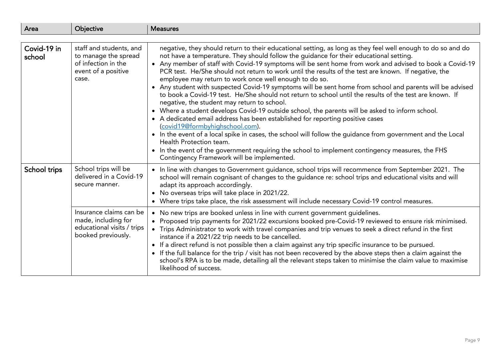<span id="page-8-0"></span>

| Area                  | Objective                                                                                              | <b>Measures</b>                                                                                                                                                                                                                                                                                                                                                                                                                                                                                                                                                                                                                                                                                                                                                                                                                                                                                                                                                                                                                                                                                                                                                                                                                                                             |
|-----------------------|--------------------------------------------------------------------------------------------------------|-----------------------------------------------------------------------------------------------------------------------------------------------------------------------------------------------------------------------------------------------------------------------------------------------------------------------------------------------------------------------------------------------------------------------------------------------------------------------------------------------------------------------------------------------------------------------------------------------------------------------------------------------------------------------------------------------------------------------------------------------------------------------------------------------------------------------------------------------------------------------------------------------------------------------------------------------------------------------------------------------------------------------------------------------------------------------------------------------------------------------------------------------------------------------------------------------------------------------------------------------------------------------------|
|                       |                                                                                                        |                                                                                                                                                                                                                                                                                                                                                                                                                                                                                                                                                                                                                                                                                                                                                                                                                                                                                                                                                                                                                                                                                                                                                                                                                                                                             |
| Covid-19 in<br>school | staff and students, and<br>to manage the spread<br>of infection in the<br>event of a positive<br>case. | negative, they should return to their educational setting, as long as they feel well enough to do so and do<br>not have a temperature. They should follow the guidance for their educational setting.<br>• Any member of staff with Covid-19 symptoms will be sent home from work and advised to book a Covid-19<br>PCR test. He/She should not return to work until the results of the test are known. If negative, the<br>employee may return to work once well enough to do so.<br>• Any student with suspected Covid-19 symptoms will be sent home from school and parents will be advised<br>to book a Covid-19 test. He/She should not return to school until the results of the test are known. If<br>negative, the student may return to school.<br>• Where a student develops Covid-19 outside school, the parents will be asked to inform school.<br>• A dedicated email address has been established for reporting positive cases<br>(covid19@formbyhighschool.com).<br>• In the event of a local spike in cases, the school will follow the guidance from government and the Local<br>Health Protection team.<br>• In the event of the government requiring the school to implement contingency measures, the FHS<br>Contingency Framework will be implemented. |
| School trips          | School trips will be<br>delivered in a Covid-19<br>secure manner.                                      | • In line with changes to Government guidance, school trips will recommence from September 2021. The<br>school will remain cognisant of changes to the guidance re: school trips and educational visits and will<br>adapt its approach accordingly.<br>• No overseas trips will take place in 2021/22.<br>• Where trips take place, the risk assessment will include necessary Covid-19 control measures.                                                                                                                                                                                                                                                                                                                                                                                                                                                                                                                                                                                                                                                                                                                                                                                                                                                                   |
|                       | Insurance claims can be<br>made, including for<br>educational visits / trips<br>booked previously.     | • No new trips are booked unless in line with current government guidelines.<br>• Proposed trip payments for 2021/22 excursions booked pre-Covid-19 reviewed to ensure risk minimised.<br>Trips Administrator to work with travel companies and trip venues to seek a direct refund in the first<br>instance if a 2021/22 trip needs to be cancelled.<br>• If a direct refund is not possible then a claim against any trip specific insurance to be pursued.<br>If the full balance for the trip / visit has not been recovered by the above steps then a claim against the<br>school's RPA is to be made, detailing all the relevant steps taken to minimise the claim value to maximise<br>likelihood of success.                                                                                                                                                                                                                                                                                                                                                                                                                                                                                                                                                        |